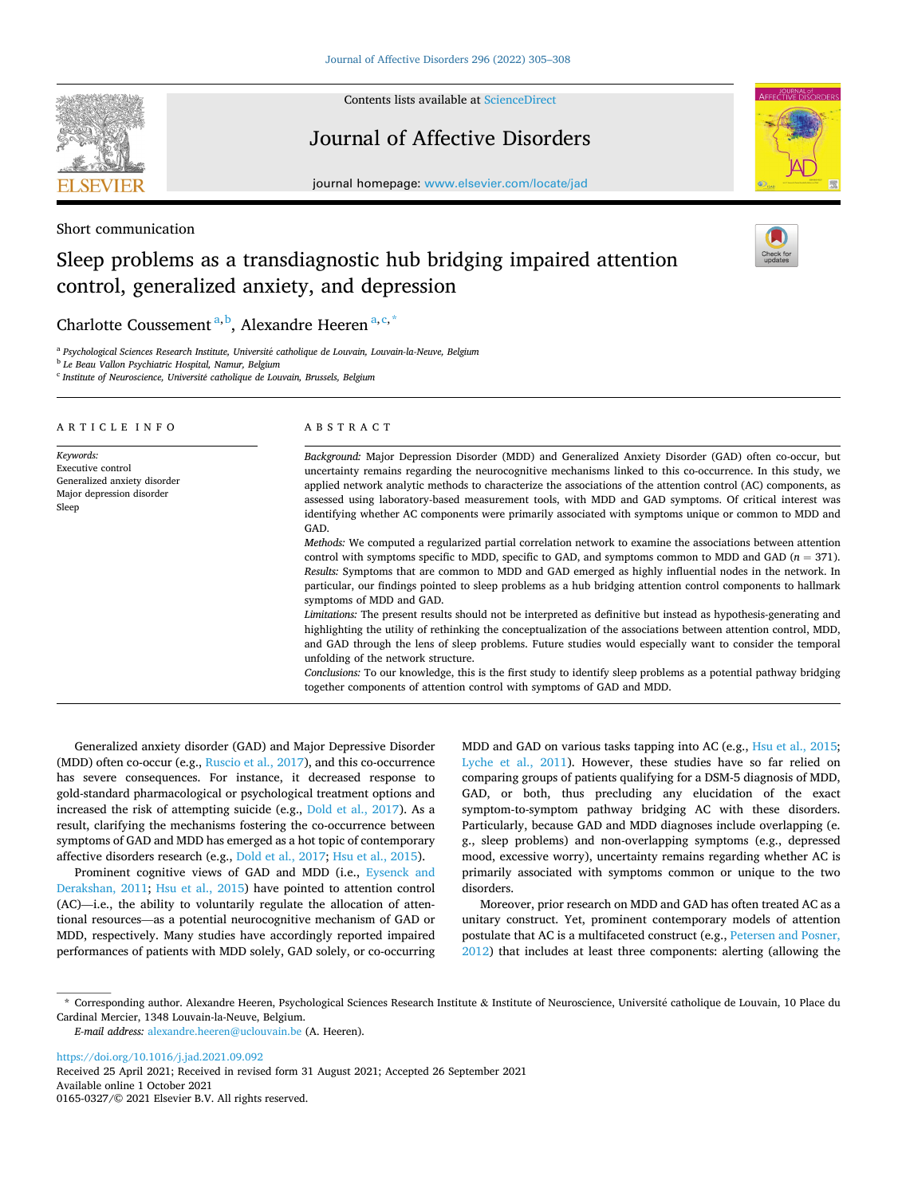

Contents lists available at [ScienceDirect](www.sciencedirect.com/science/journal/01650327)

# Journal of Affective Disorders



journal homepage: [www.elsevier.com/locate/jad](https://www.elsevier.com/locate/jad)

Short communication

# Sleep problems as a transdiagnostic hub bridging impaired attention control, generalized anxiety, and depression

Charlotte Coussement<sup>a, b</sup>, Alexandre Heeren<sup>a, c,\*</sup>

<sup>a</sup> Psychological Sciences Research Institute, Université catholique de Louvain, Louvain-la-Neuve, Belgium

<sup>b</sup> *Le Beau Vallon Psychiatric Hospital, Namur, Belgium* 

<sup>c</sup> *Institute of Neuroscience, Universit*´*e catholique de Louvain, Brussels, Belgium* 

| ARTICLE INFO                                                                                         | ABSTRACT                                                                                                                                                                                                                                                                                                                                                                                                                                                                                                                                                                                                                                                                                                                                                                                                                                                                                                                                                                                                                                                                                                                                                                                                                                                                                                                                                                                                                                                                                                                                                                  |
|------------------------------------------------------------------------------------------------------|---------------------------------------------------------------------------------------------------------------------------------------------------------------------------------------------------------------------------------------------------------------------------------------------------------------------------------------------------------------------------------------------------------------------------------------------------------------------------------------------------------------------------------------------------------------------------------------------------------------------------------------------------------------------------------------------------------------------------------------------------------------------------------------------------------------------------------------------------------------------------------------------------------------------------------------------------------------------------------------------------------------------------------------------------------------------------------------------------------------------------------------------------------------------------------------------------------------------------------------------------------------------------------------------------------------------------------------------------------------------------------------------------------------------------------------------------------------------------------------------------------------------------------------------------------------------------|
| Keywords:<br>Executive control<br>Generalized anxiety disorder<br>Major depression disorder<br>Sleep | Background: Major Depression Disorder (MDD) and Generalized Anxiety Disorder (GAD) often co-occur, but<br>uncertainty remains regarding the neurocognitive mechanisms linked to this co-occurrence. In this study, we<br>applied network analytic methods to characterize the associations of the attention control (AC) components, as<br>assessed using laboratory-based measurement tools, with MDD and GAD symptoms. Of critical interest was<br>identifying whether AC components were primarily associated with symptoms unique or common to MDD and<br>GAD.<br>Methods: We computed a regularized partial correlation network to examine the associations between attention<br>control with symptoms specific to MDD, specific to GAD, and symptoms common to MDD and GAD ( $n = 371$ ).<br>Results: Symptoms that are common to MDD and GAD emerged as highly influential nodes in the network. In<br>particular, our findings pointed to sleep problems as a hub bridging attention control components to hallmark<br>symptoms of MDD and GAD.<br>Limitations: The present results should not be interpreted as definitive but instead as hypothesis-generating and<br>highlighting the utility of rethinking the conceptualization of the associations between attention control, MDD,<br>and GAD through the lens of sleep problems. Future studies would especially want to consider the temporal<br>unfolding of the network structure.<br>Conclusions: To our knowledge, this is the first study to identify sleep problems as a potential pathway bridging |
|                                                                                                      | together components of attention control with symptoms of GAD and MDD.                                                                                                                                                                                                                                                                                                                                                                                                                                                                                                                                                                                                                                                                                                                                                                                                                                                                                                                                                                                                                                                                                                                                                                                                                                                                                                                                                                                                                                                                                                    |

Generalized anxiety disorder (GAD) and Major Depressive Disorder (MDD) often co-occur (e.g., [Ruscio et al., 2017\)](#page-3-0), and this co-occurrence has severe consequences. For instance, it decreased response to gold-standard pharmacological or psychological treatment options and increased the risk of attempting suicide (e.g., [Dold et al., 2017\)](#page-3-0). As a result, clarifying the mechanisms fostering the co-occurrence between symptoms of GAD and MDD has emerged as a hot topic of contemporary affective disorders research (e.g., [Dold et al., 2017](#page-3-0); [Hsu et al., 2015](#page-3-0)).

Prominent cognitive views of GAD and MDD (i.e., [Eysenck and](#page-3-0)  [Derakshan, 2011](#page-3-0); [Hsu et al., 2015](#page-3-0)) have pointed to attention control (AC)—i.e., the ability to voluntarily regulate the allocation of attentional resources—as a potential neurocognitive mechanism of GAD or MDD, respectively. Many studies have accordingly reported impaired performances of patients with MDD solely, GAD solely, or co-occurring MDD and GAD on various tasks tapping into AC (e.g., [Hsu et al., 2015](#page-3-0); [Lyche et al., 2011](#page-3-0)). However, these studies have so far relied on comparing groups of patients qualifying for a DSM-5 diagnosis of MDD, GAD, or both, thus precluding any elucidation of the exact symptom-to-symptom pathway bridging AC with these disorders. Particularly, because GAD and MDD diagnoses include overlapping (e. g., sleep problems) and non-overlapping symptoms (e.g., depressed mood, excessive worry), uncertainty remains regarding whether AC is primarily associated with symptoms common or unique to the two disorders.

Moreover, prior research on MDD and GAD has often treated AC as a unitary construct. Yet, prominent contemporary models of attention postulate that AC is a multifaceted construct (e.g., [Petersen and Posner,](#page-3-0)  [2012\)](#page-3-0) that includes at least three components: alerting (allowing the

Available online 1 October 2021 0165-0327/© 2021 Elsevier B.V. All rights reserved. <https://doi.org/10.1016/j.jad.2021.09.092> Received 25 April 2021; Received in revised form 31 August 2021; Accepted 26 September 2021

<sup>\*</sup> Corresponding author. Alexandre Heeren, Psychological Sciences Research Institute & Institute of Neuroscience, Universit´e catholique de Louvain, 10 Place du Cardinal Mercier, 1348 Louvain-la-Neuve, Belgium.

*E-mail address:* [alexandre.heeren@uclouvain.be](mailto:alexandre.heeren@uclouvain.be) (A. Heeren).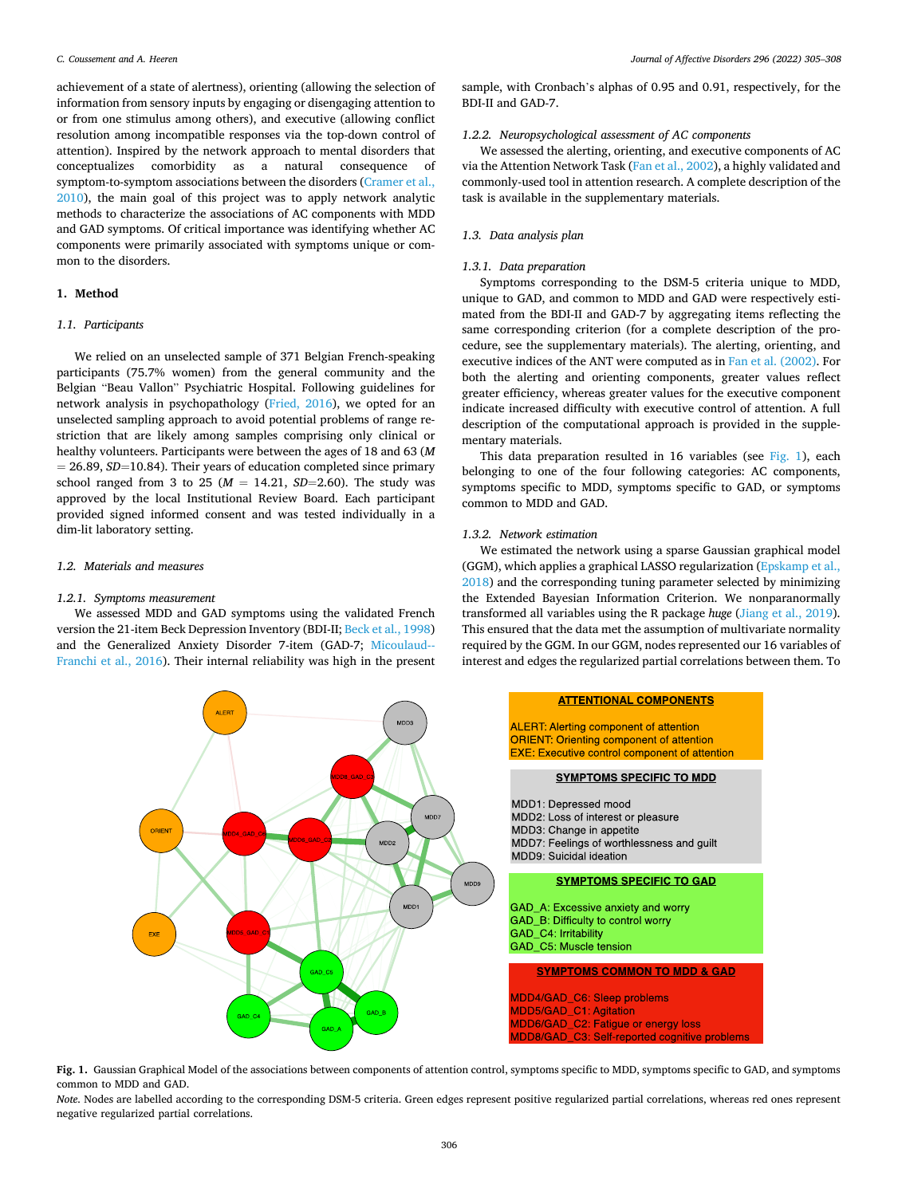<span id="page-1-0"></span>achievement of a state of alertness), orienting (allowing the selection of information from sensory inputs by engaging or disengaging attention to or from one stimulus among others), and executive (allowing conflict resolution among incompatible responses via the top-down control of attention). Inspired by the network approach to mental disorders that conceptualizes comorbidity as a natural consequence of symptom-to-symptom associations between the disorders ([Cramer et al.,](#page-3-0)  [2010\)](#page-3-0), the main goal of this project was to apply network analytic methods to characterize the associations of AC components with MDD and GAD symptoms. Of critical importance was identifying whether AC components were primarily associated with symptoms unique or common to the disorders.

# **1. Method**

#### *1.1. Participants*

We relied on an unselected sample of 371 Belgian French-speaking participants (75.7% women) from the general community and the Belgian "Beau Vallon" Psychiatric Hospital. Following guidelines for network analysis in psychopathology ([Fried, 2016\)](#page-3-0), we opted for an unselected sampling approach to avoid potential problems of range restriction that are likely among samples comprising only clinical or healthy volunteers. Participants were between the ages of 18 and 63 (*M*   $= 26.89, SD=10.84$ ). Their years of education completed since primary school ranged from 3 to 25 ( $M = 14.21$ ,  $SD=2.60$ ). The study was approved by the local Institutional Review Board. Each participant provided signed informed consent and was tested individually in a dim-lit laboratory setting.

# *1.2. Materials and measures*

#### *1.2.1. Symptoms measurement*

We assessed MDD and GAD symptoms using the validated French version the 21-item Beck Depression Inventory (BDI-II; [Beck et al., 1998\)](#page-3-0) and the Generalized Anxiety Disorder 7-item (GAD-7; [Micoulaud--](#page-3-0)[Franchi et al., 2016\)](#page-3-0). Their internal reliability was high in the present

sample, with Cronbach's alphas of 0.95 and 0.91, respectively, for the BDI-II and GAD-7.

## *1.2.2. Neuropsychological assessment of AC components*

We assessed the alerting, orienting, and executive components of AC via the Attention Network Task ([Fan et al., 2002](#page-3-0)), a highly validated and commonly-used tool in attention research. A complete description of the task is available in the supplementary materials.

# *1.3. Data analysis plan*

# *1.3.1. Data preparation*

Symptoms corresponding to the DSM-5 criteria unique to MDD, unique to GAD, and common to MDD and GAD were respectively estimated from the BDI-II and GAD-7 by aggregating items reflecting the same corresponding criterion (for a complete description of the procedure, see the supplementary materials). The alerting, orienting, and executive indices of the ANT were computed as in [Fan et al. \(2002\).](#page-3-0) For both the alerting and orienting components, greater values reflect greater efficiency, whereas greater values for the executive component indicate increased difficulty with executive control of attention. A full description of the computational approach is provided in the supplementary materials.

This data preparation resulted in 16 variables (see Fig. 1), each belonging to one of the four following categories: AC components, symptoms specific to MDD, symptoms specific to GAD, or symptoms common to MDD and GAD.

#### *1.3.2. Network estimation*

We estimated the network using a sparse Gaussian graphical model (GGM), which applies a graphical LASSO regularization ([Epskamp et al.,](#page-3-0)  [2018\)](#page-3-0) and the corresponding tuning parameter selected by minimizing the Extended Bayesian Information Criterion. We nonparanormally transformed all variables using the R package *huge* ([Jiang et al., 2019](#page-3-0)). This ensured that the data met the assumption of multivariate normality required by the GGM. In our GGM, nodes represented our 16 variables of interest and edges the regularized partial correlations between them. To



**Fig. 1.** Gaussian Graphical Model of the associations between components of attention control, symptoms specific to MDD, symptoms specific to GAD, and symptoms common to MDD and GAD.

*Note*. Nodes are labelled according to the corresponding DSM-5 criteria. Green edges represent positive regularized partial correlations, whereas red ones represent negative regularized partial correlations.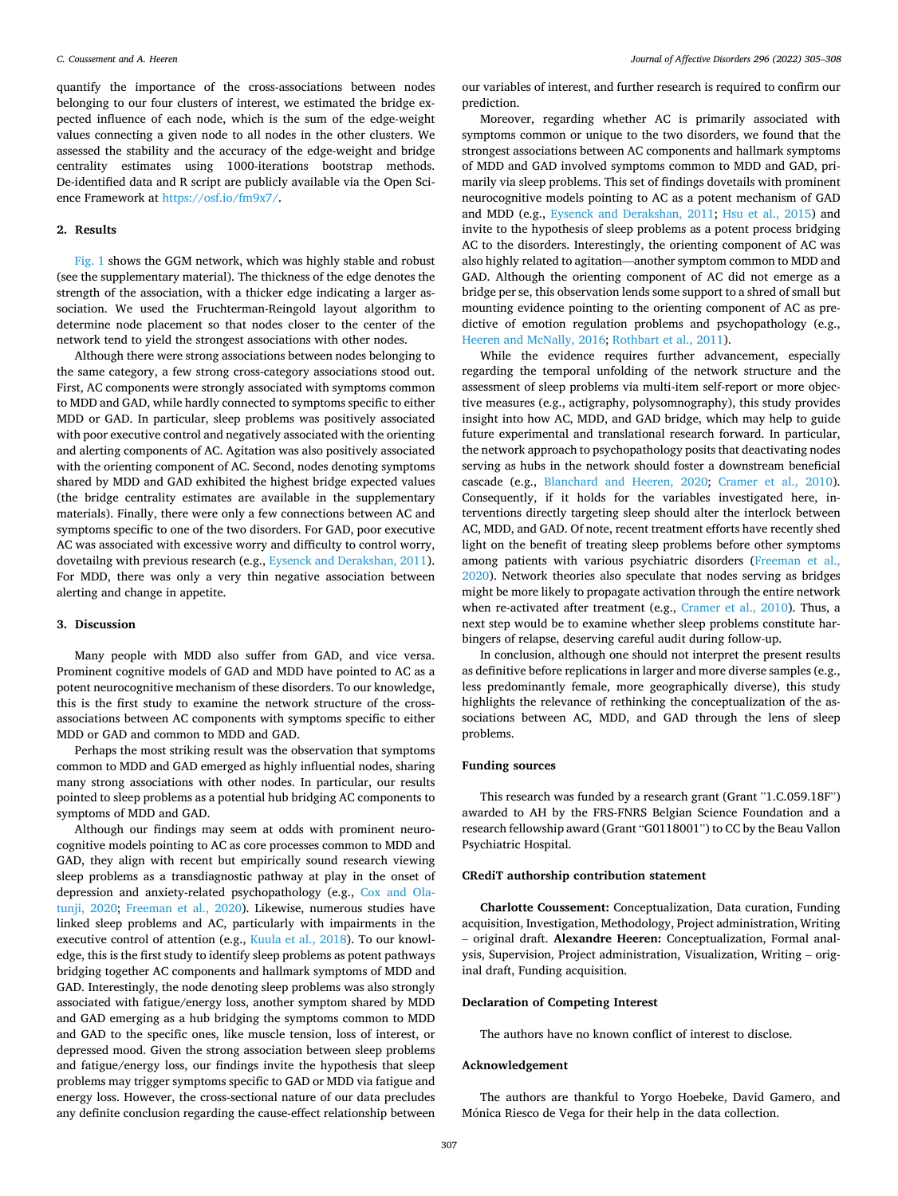quantify the importance of the cross-associations between nodes belonging to our four clusters of interest, we estimated the bridge expected influence of each node, which is the sum of the edge-weight values connecting a given node to all nodes in the other clusters. We assessed the stability and the accuracy of the edge-weight and bridge centrality estimates using 1000-iterations bootstrap methods. De-identified data and R script are publicly available via the Open Science Framework at [https://osf.io/fm9x7/.](https://osf.io/fm9x7/)

#### **2. Results**

[Fig. 1](#page-1-0) shows the GGM network, which was highly stable and robust (see the supplementary material). The thickness of the edge denotes the strength of the association, with a thicker edge indicating a larger association. We used the Fruchterman-Reingold layout algorithm to determine node placement so that nodes closer to the center of the network tend to yield the strongest associations with other nodes.

Although there were strong associations between nodes belonging to the same category, a few strong cross-category associations stood out. First, AC components were strongly associated with symptoms common to MDD and GAD, while hardly connected to symptoms specific to either MDD or GAD. In particular, sleep problems was positively associated with poor executive control and negatively associated with the orienting and alerting components of AC. Agitation was also positively associated with the orienting component of AC. Second, nodes denoting symptoms shared by MDD and GAD exhibited the highest bridge expected values (the bridge centrality estimates are available in the supplementary materials). Finally, there were only a few connections between AC and symptoms specific to one of the two disorders. For GAD, poor executive AC was associated with excessive worry and difficulty to control worry, dovetailng with previous research (e.g., [Eysenck and Derakshan, 2011](#page-3-0)). For MDD, there was only a very thin negative association between alerting and change in appetite.

## **3. Discussion**

Many people with MDD also suffer from GAD, and vice versa. Prominent cognitive models of GAD and MDD have pointed to AC as a potent neurocognitive mechanism of these disorders. To our knowledge, this is the first study to examine the network structure of the crossassociations between AC components with symptoms specific to either MDD or GAD and common to MDD and GAD.

Perhaps the most striking result was the observation that symptoms common to MDD and GAD emerged as highly influential nodes, sharing many strong associations with other nodes. In particular, our results pointed to sleep problems as a potential hub bridging AC components to symptoms of MDD and GAD.

Although our findings may seem at odds with prominent neurocognitive models pointing to AC as core processes common to MDD and GAD, they align with recent but empirically sound research viewing sleep problems as a transdiagnostic pathway at play in the onset of depression and anxiety-related psychopathology (e.g., [Cox and Ola](#page-3-0)[tunji, 2020;](#page-3-0) [Freeman et al., 2020](#page-3-0)). Likewise, numerous studies have linked sleep problems and AC, particularly with impairments in the executive control of attention (e.g., [Kuula et al., 2018](#page-3-0)). To our knowledge, this is the first study to identify sleep problems as potent pathways bridging together AC components and hallmark symptoms of MDD and GAD. Interestingly, the node denoting sleep problems was also strongly associated with fatigue/energy loss, another symptom shared by MDD and GAD emerging as a hub bridging the symptoms common to MDD and GAD to the specific ones, like muscle tension, loss of interest, or depressed mood. Given the strong association between sleep problems and fatigue/energy loss, our findings invite the hypothesis that sleep problems may trigger symptoms specific to GAD or MDD via fatigue and energy loss. However, the cross-sectional nature of our data precludes any definite conclusion regarding the cause-effect relationship between

our variables of interest, and further research is required to confirm our prediction.

Moreover, regarding whether AC is primarily associated with symptoms common or unique to the two disorders, we found that the strongest associations between AC components and hallmark symptoms of MDD and GAD involved symptoms common to MDD and GAD, primarily via sleep problems. This set of findings dovetails with prominent neurocognitive models pointing to AC as a potent mechanism of GAD and MDD (e.g., [Eysenck and Derakshan, 2011;](#page-3-0) [Hsu et al., 2015](#page-3-0)) and invite to the hypothesis of sleep problems as a potent process bridging AC to the disorders. Interestingly, the orienting component of AC was also highly related to agitation—another symptom common to MDD and GAD. Although the orienting component of AC did not emerge as a bridge per se, this observation lends some support to a shred of small but mounting evidence pointing to the orienting component of AC as predictive of emotion regulation problems and psychopathology (e.g., [Heeren and McNally, 2016; Rothbart et al., 2011](#page-3-0)).

While the evidence requires further advancement, especially regarding the temporal unfolding of the network structure and the assessment of sleep problems via multi-item self-report or more objective measures (e.g., actigraphy, polysomnography), this study provides insight into how AC, MDD, and GAD bridge, which may help to guide future experimental and translational research forward. In particular, the network approach to psychopathology posits that deactivating nodes serving as hubs in the network should foster a downstream beneficial cascade (e.g., [Blanchard and Heeren, 2020;](#page-3-0) [Cramer et al., 2010](#page-3-0)). Consequently, if it holds for the variables investigated here, interventions directly targeting sleep should alter the interlock between AC, MDD, and GAD. Of note, recent treatment efforts have recently shed light on the benefit of treating sleep problems before other symptoms among patients with various psychiatric disorders ([Freeman et al.,](#page-3-0)  [2020\)](#page-3-0). Network theories also speculate that nodes serving as bridges might be more likely to propagate activation through the entire network when re-activated after treatment (e.g., [Cramer et al., 2010\)](#page-3-0). Thus, a next step would be to examine whether sleep problems constitute harbingers of relapse, deserving careful audit during follow-up.

In conclusion, although one should not interpret the present results as definitive before replications in larger and more diverse samples (e.g., less predominantly female, more geographically diverse), this study highlights the relevance of rethinking the conceptualization of the associations between AC, MDD, and GAD through the lens of sleep problems.

# **Funding sources**

This research was funded by a research grant (Grant "1.C.059.18F") awarded to AH by the FRS-FNRS Belgian Science Foundation and a research fellowship award (Grant "G0118001") to CC by the Beau Vallon Psychiatric Hospital.

#### **CRediT authorship contribution statement**

**Charlotte Coussement:** Conceptualization, Data curation, Funding acquisition, Investigation, Methodology, Project administration, Writing – original draft. **Alexandre Heeren:** Conceptualization, Formal analysis, Supervision, Project administration, Visualization, Writing – original draft, Funding acquisition.

## **Declaration of Competing Interest**

The authors have no known conflict of interest to disclose.

# **Acknowledgement**

The authors are thankful to Yorgo Hoebeke, David Gamero, and Mónica Riesco de Vega for their help in the data collection.